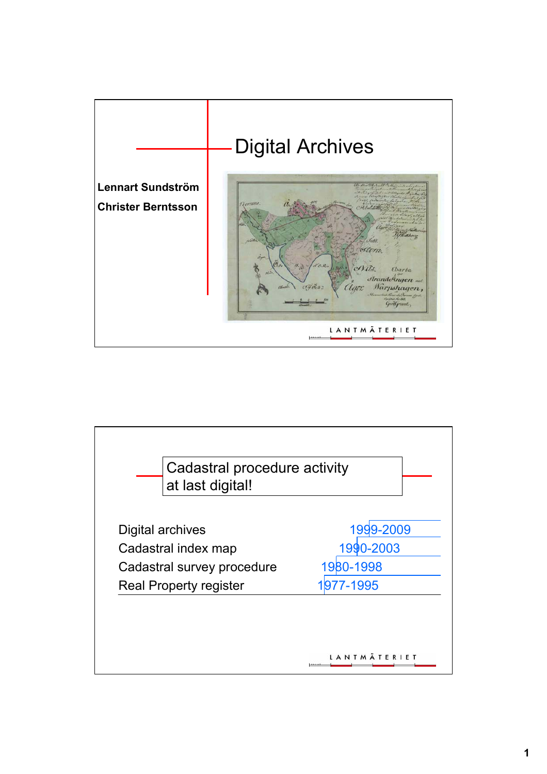

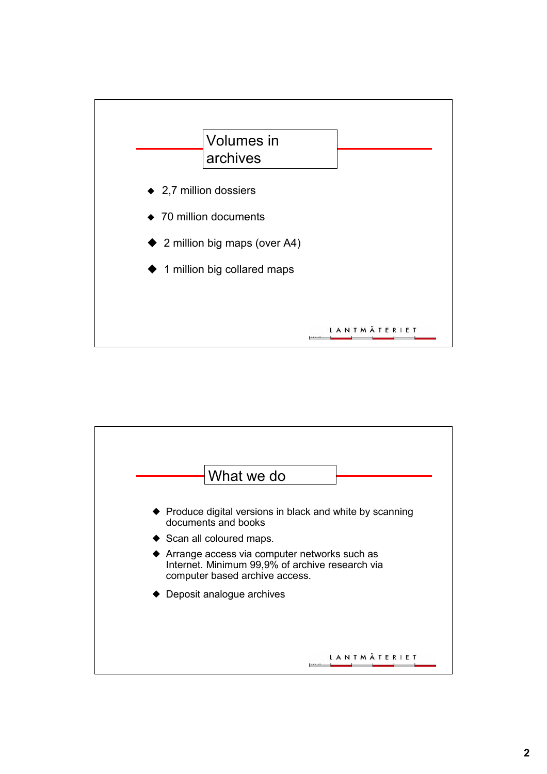

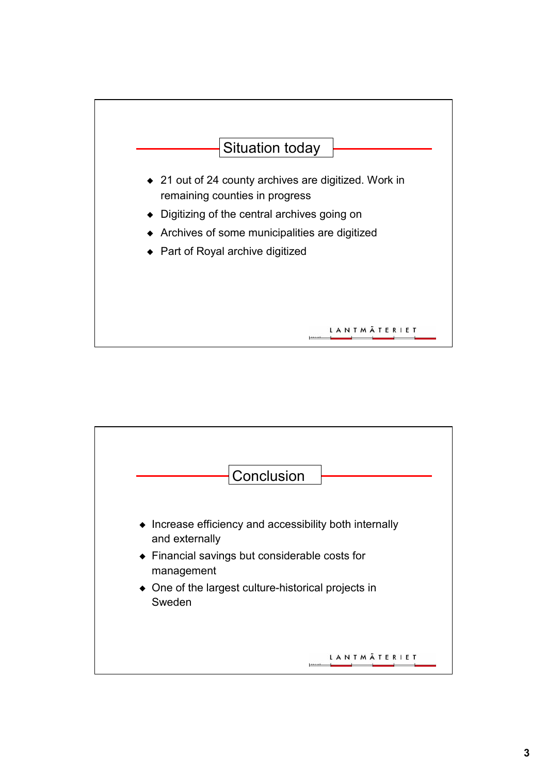

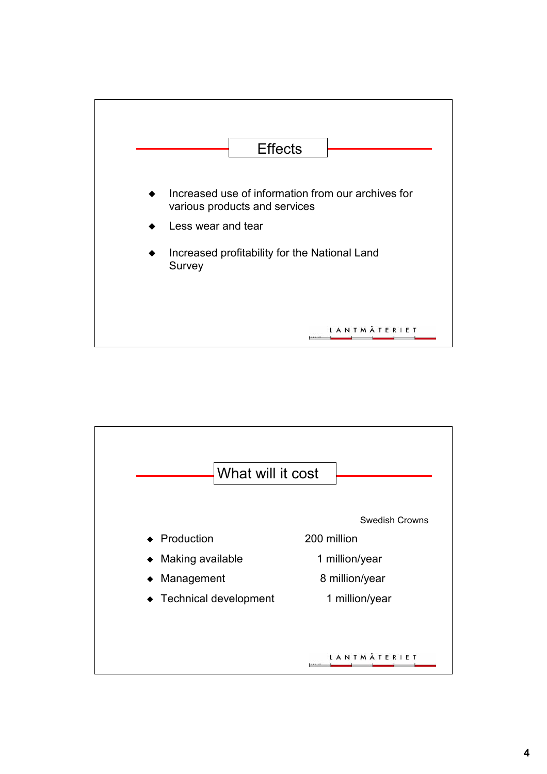

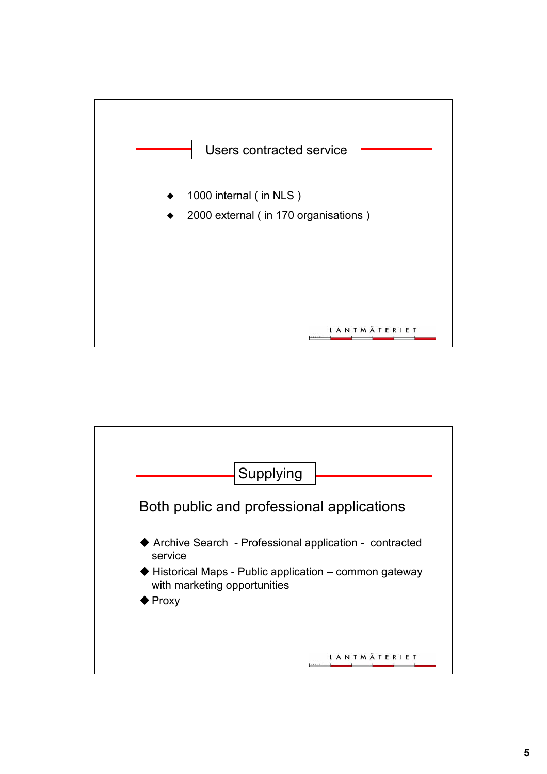

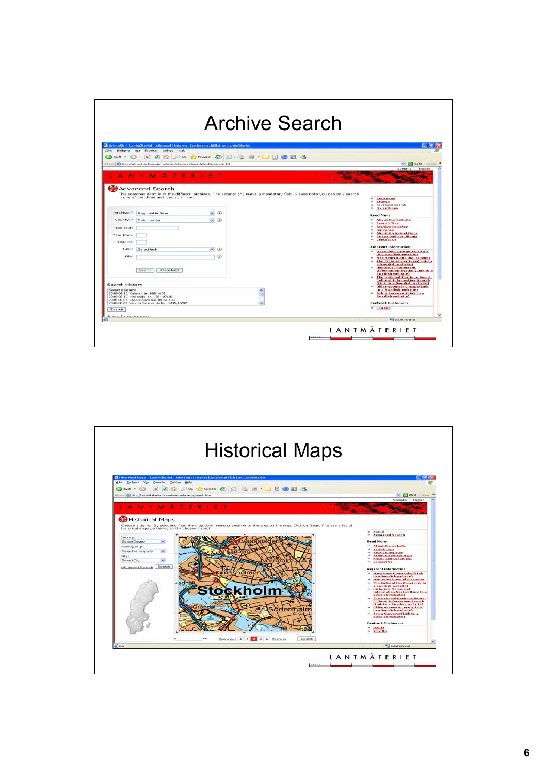| <b>Archive Search</b>                               |                                                                                     |                                                                                |                                                                                                                             |
|-----------------------------------------------------|-------------------------------------------------------------------------------------|--------------------------------------------------------------------------------|-----------------------------------------------------------------------------------------------------------------------------|
|                                                     |                                                                                     |                                                                                |                                                                                                                             |
|                                                     | Arkiv Bedigera Visa Eavoriter Verktyg Hillip                                        | Arkivsök   Lantmäteriet - Microsoft Internet Explorer erhållet av Lantmäteriet | - 10                                                                                                                        |
| $\epsilon$ is the $\epsilon$                        | <sub>3</sub>                                                                        | DSK Strander @ G & M · D D H 3                                                 |                                                                                                                             |
|                                                     | Adress (a) http://arkivsok.lantmateriet.se/arken/s/advancedsearch.html?locale=en_US | V C GELE Lardon                                                                |                                                                                                                             |
|                                                     | <b>F</b>                                                                            |                                                                                | Svenska   English                                                                                                           |
|                                                     | <b>BA</b> dvanced Search                                                            |                                                                                |                                                                                                                             |
|                                                     |                                                                                     |                                                                                | This searches directly in the different archives. The asterisk (*) marks a mandatory field. Please note you can only search |
|                                                     | in one of the three archives at a time.                                             |                                                                                | $^{**}$<br>Startpage<br><b>Site</b><br>Search                                                                               |
|                                                     |                                                                                     |                                                                                | Advanced Search<br>$\sim$<br>xs.<br><b>My settings</b>                                                                      |
| Archive: "                                          | Regional Archive                                                                    | $\vee$ (ii)                                                                    | <b>Read More</b>                                                                                                            |
| County: "                                           | Dalamas lan                                                                         | $\vee$ (ii)                                                                    | <b>About the website</b><br>$^{36}$<br><b>Search Tips</b><br>w.                                                             |
| Free text:                                          |                                                                                     |                                                                                | io.<br><b>Archive register</b><br>×.<br>Guidance                                                                            |
| Year from:                                          |                                                                                     |                                                                                | <b>About Historical Maps</b><br><b>Side</b><br>×.                                                                           |
| Year to:                                            |                                                                                     |                                                                                | <b>Prices and conditions</b><br><b>Contact Us</b><br>10 <sup>4</sup>                                                        |
|                                                     | Task: Select task                                                                   | $\sim$ (D)                                                                     | <b>Adjacent information</b>                                                                                                 |
|                                                     |                                                                                     |                                                                                | Maps over Diurgarden(Link)<br>to a Swedish website)                                                                         |
| File:                                               |                                                                                     | $\omega$                                                                       | Map search and placenames<br>The Cultural Heritage(Link to                                                                  |
|                                                     |                                                                                     |                                                                                | a Swedish website)<br><b>Historical Monument</b>                                                                            |
|                                                     | Search<br>Clear field                                                               |                                                                                | Information System(Link to a<br>Swedish website)                                                                            |
|                                                     |                                                                                     |                                                                                | The National Heritage Board,<br><b>Cultural Information Search</b>                                                          |
| <b>Search History</b>                               |                                                                                     | (Link to a Swedish website)<br>W.<br>Older geometric maps(Link                 |                                                                                                                             |
| Select a search<br>2008-06-10. Kalmar lan, 0881-806 |                                                                                     |                                                                                | to a Swedish website)<br>Ask a Surveyor(Link to a                                                                           |
|                                                     | 2008-06-10, Hallands lan, 1381-07/36<br>2008-06-04. Stockholms län. 01-bli-135      |                                                                                | Swedish website)                                                                                                            |
|                                                     | 2008-06-04. Vastra Götalands län, 1435-85/92.                                       | <b>Contract Customers</b>                                                      |                                                                                                                             |
| Search                                              |                                                                                     |                                                                                | $n$ Log Out                                                                                                                 |
| <b>Count desmonate</b>                              |                                                                                     |                                                                                | Lokak intranat                                                                                                              |
|                                                     |                                                                                     |                                                                                |                                                                                                                             |
|                                                     |                                                                                     |                                                                                | <b>LANTMÄTERIET</b>                                                                                                         |